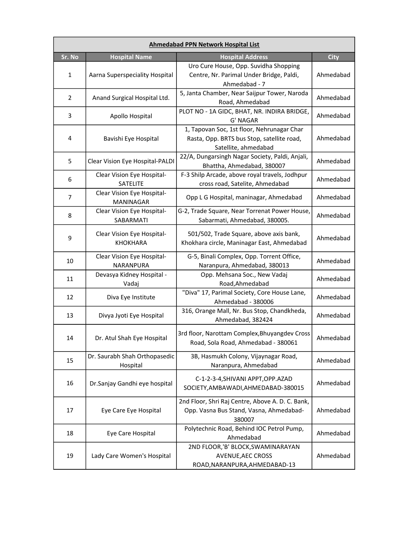| <b>Ahmedabad PPN Network Hospital List</b> |                                                |                                                                                                                  |             |  |
|--------------------------------------------|------------------------------------------------|------------------------------------------------------------------------------------------------------------------|-------------|--|
| Sr. No                                     | <b>Hospital Name</b>                           | <b>Hospital Address</b>                                                                                          | <b>City</b> |  |
| $\mathbf{1}$                               | Aarna Superspeciality Hospital                 | Uro Cure House, Opp. Suvidha Shopping<br>Centre, Nr. Parimal Under Bridge, Paldi,<br>Ahmedabad - 7               | Ahmedabad   |  |
| $\overline{2}$                             | Anand Surgical Hospital Ltd.                   | 5, Janta Chamber, Near Saijpur Tower, Naroda<br>Road, Ahmedabad                                                  | Ahmedabad   |  |
| 3                                          | Apollo Hospital                                | PLOT NO - 1A GIDC, BHAT, NR. INDIRA BRIDGE,<br>G' NAGAR                                                          | Ahmedabad   |  |
| 4                                          | Bavishi Eye Hospital                           | 1, Tapovan Soc, 1st floor, Nehrunagar Char<br>Rasta, Opp. BRTS bus Stop, satellite road,<br>Satellite, ahmedabad | Ahmedabad   |  |
| 5                                          | Clear Vision Eye Hospital-PALDI                | 22/A, Dungarsingh Nagar Society, Paldi, Anjali,<br>Bhattha, Ahmedabad, 380007                                    | Ahmedabad   |  |
| 6                                          | Clear Vision Eye Hospital-<br>SATELITE         | F-3 Shilp Arcade, above royal travels, Jodhpur<br>cross road, Satelite, Ahmedabad                                | Ahmedabad   |  |
| $\overline{7}$                             | Clear Vision Eye Hospital-<br><b>MANINAGAR</b> | Opp L G Hospital, maninagar, Ahmedabad                                                                           | Ahmedabad   |  |
| 8                                          | Clear Vision Eye Hospital-<br>SABARMATI        | G-2, Trade Square, Near Torrenat Power House,<br>Sabarmati, Ahmedabad, 380005.                                   | Ahmedabad   |  |
| 9                                          | Clear Vision Eye Hospital-<br><b>KHOKHARA</b>  | 501/502, Trade Square, above axis bank,<br>Khokhara circle, Maninagar East, Ahmedabad                            | Ahmedabad   |  |
| 10                                         | Clear Vision Eye Hospital-<br>NARANPURA        | G-5, Binali Complex, Opp. Torrent Office,<br>Naranpura, Ahmedabad, 380013                                        | Ahmedabad   |  |
| 11                                         | Devasya Kidney Hospital -<br>Vadaj             | Opp. Mehsana Soc., New Vadaj<br>Road, Ahmedabad                                                                  | Ahmedabad   |  |
| 12                                         | Diva Eye Institute                             | "Diva" 17, Parimal Society, Core House Lane,<br>Ahmedabad - 380006                                               | Ahmedabad   |  |
| 13                                         | Divya Jyoti Eye Hospital                       | 316, Orange Mall, Nr. Bus Stop, Chandkheda,<br>Ahmedabad, 382424                                                 | Ahmedabad   |  |
| 14                                         | Dr. Atul Shah Eye Hospital                     | 3rd floor, Narottam Complex, Bhuyangdev Cross<br>Road, Sola Road, Ahmedabad - 380061                             | Ahmedabad   |  |
| 15                                         | Dr. Saurabh Shah Orthopasedic<br>Hospital      | 3B, Hasmukh Colony, Vijaynagar Road,<br>Naranpura, Ahmedabad                                                     | Ahmedabad   |  |
| 16                                         | Dr.Sanjay Gandhi eye hospital                  | C-1-2-3-4, SHIVANI APPT, OPP. AZAD<br>SOCIETY, AMBAWADI, AHMEDABAD-380015                                        | Ahmedabad   |  |
| 17                                         | Eye Care Eye Hospital                          | 2nd Floor, Shri Raj Centre, Above A. D. C. Bank,<br>Opp. Vasna Bus Stand, Vasna, Ahmedabad-<br>380007            | Ahmedabad   |  |
| 18                                         | Eye Care Hospital                              | Polytechnic Road, Behind IOC Petrol Pump,<br>Ahmedabad                                                           | Ahmedabad   |  |
| 19                                         | Lady Care Women's Hospital                     | 2ND FLOOR,'B' BLOCK, SWAMINARAYAN<br><b>AVENUE, AEC CROSS</b><br>ROAD, NARANPURA, AHMEDABAD-13                   | Ahmedabad   |  |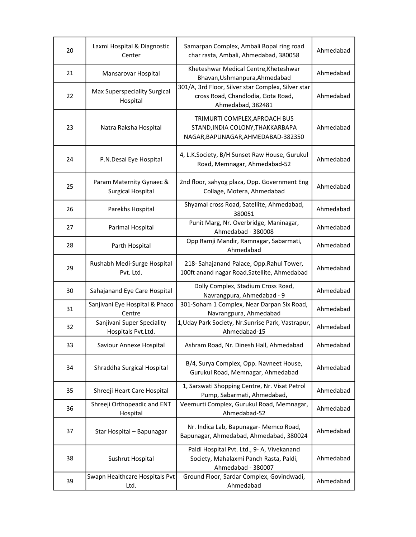| 20 | Laxmi Hospital & Diagnostic<br>Center                | Samarpan Complex, Ambali Bopal ring road<br>char rasta, Ambali, Ahmedabad, 380058                             | Ahmedabad |
|----|------------------------------------------------------|---------------------------------------------------------------------------------------------------------------|-----------|
| 21 | Mansarovar Hospital                                  | Kheteshwar Medical Centre, Kheteshwar<br>Bhavan, Ushmanpura, Ahmedabad                                        | Ahmedabad |
| 22 | Max Superspeciality Surgical<br>Hospital             | 301/A, 3rd Floor, Silver star Complex, Silver star<br>cross Road, Chandlodia, Gota Road,<br>Ahmedabad, 382481 | Ahmedabad |
| 23 | Natra Raksha Hospital                                | TRIMURTI COMPLEX, APROACH BUS<br>STAND, INDIA COLONY, THAKKARBAPA<br>NAGAR, BAPUNAGAR, AHMEDABAD-382350       | Ahmedabad |
| 24 | P.N.Desai Eye Hospital                               | 4, L.K.Society, B/H Sunset Raw House, Gurukul<br>Road, Memnagar, Ahmedabad-52                                 | Ahmedabad |
| 25 | Param Maternity Gynaec &<br><b>Surgical Hospital</b> | 2nd floor, sahyog plaza, Opp. Government Eng<br>Collage, Motera, Ahmedabad                                    | Ahmedabad |
| 26 | Parekhs Hospital                                     | Shyamal cross Road, Satellite, Ahmedabad,<br>380051                                                           | Ahmedabad |
| 27 | Parimal Hospital                                     | Punit Marg, Nr. Overbridge, Maninagar,<br>Ahmedabad - 380008                                                  | Ahmedabad |
| 28 | Parth Hospital                                       | Opp Ramji Mandir, Ramnagar, Sabarmati,<br>Ahmedabad                                                           | Ahmedabad |
| 29 | Rushabh Medi-Surge Hospital<br>Pvt. Ltd.             | 218- Sahajanand Palace, Opp.Rahul Tower,<br>100ft anand nagar Road, Satellite, Ahmedabad                      | Ahmedabad |
| 30 | Sahajanand Eye Care Hospital                         | Dolly Complex, Stadium Cross Road,<br>Navrangpura, Ahmedabad - 9                                              | Ahmedabad |
| 31 | Sanjivani Eye Hospital & Phaco<br>Centre             | 301-Soham 1 Complex, Near Darpan Six Road,<br>Navrangpura, Ahmedabad                                          | Ahmedabad |
| 32 | Sanjivani Super Speciality<br>Hospitals Pvt.Ltd.     | 1, Uday Park Society, Nr. Sunrise Park, Vastrapur,<br>Ahmedabad-15                                            | Ahmedabad |
| 33 | Saviour Annexe Hospital                              | Ashram Road, Nr. Dinesh Hall, Ahmedabad                                                                       | Ahmedabad |
| 34 | Shraddha Surgical Hospital                           | B/4, Surya Complex, Opp. Navneet House,<br>Gurukul Road, Memnagar, Ahmedabad                                  | Ahmedabad |
| 35 | Shreeji Heart Care Hospital                          | 1, Sarswati Shopping Centre, Nr. Visat Petrol<br>Pump, Sabarmati, Ahmedabad,                                  | Ahmedabad |
| 36 | Shreeji Orthopeadic and ENT<br>Hospital              | Veemurti Complex, Gurukul Road, Memnagar,<br>Ahmedabad-52                                                     | Ahmedabad |
| 37 | Star Hospital - Bapunagar                            | Nr. Indica Lab, Bapunagar- Memco Road,<br>Bapunagar, Ahmedabad, Ahmedabad, 380024                             | Ahmedabad |
| 38 | Sushrut Hospital                                     | Paldi Hospital Pvt. Ltd., 9- A, Vivekanand<br>Society, Mahalaxmi Panch Rasta, Paldi,<br>Ahmedabad - 380007    | Ahmedabad |
| 39 | Swapn Healthcare Hospitals Pvt<br>Ltd.               | Ground Floor, Sardar Complex, Govindwadi,<br>Ahmedabad                                                        | Ahmedabad |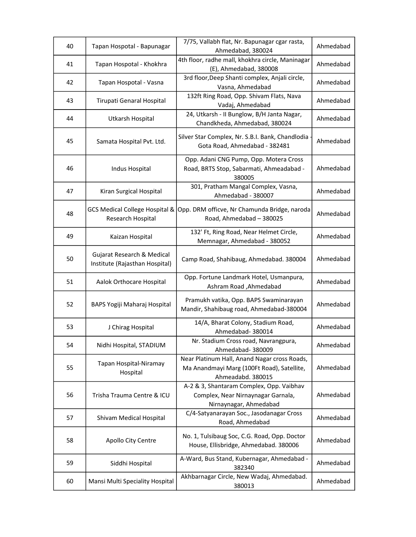| 40 | Tapan Hospotal - Bapunagar                                     | 7/75, Vallabh flat, Nr. Bapunagar cgar rasta,                                                                   | Ahmedabad |
|----|----------------------------------------------------------------|-----------------------------------------------------------------------------------------------------------------|-----------|
|    |                                                                | Ahmedabad, 380024                                                                                               |           |
| 41 | Tapan Hospotal - Khokhra                                       | 4th floor, radhe mall, khokhra circle, Maninagar<br>(E), Ahmedabad, 380008                                      | Ahmedabad |
| 42 | Tapan Hospotal - Vasna                                         | 3rd floor, Deep Shanti complex, Anjali circle,<br>Vasna, Ahmedabad                                              | Ahmedabad |
| 43 | Tirupati Genaral Hospital                                      | 132ft Ring Road, Opp. Shivam Flats, Nava<br>Vadaj, Ahmedabad                                                    | Ahmedabad |
| 44 | Utkarsh Hospital                                               | 24, Utkarsh - II Bunglow, B/H Janta Nagar,<br>Chandkheda, Ahmedabad, 380024                                     | Ahmedabad |
| 45 | Samata Hospital Pvt. Ltd.                                      | Silver Star Complex, Nr. S.B.I. Bank, Chandlodia<br>Gota Road, Ahmedabad - 382481                               | Ahmedabad |
| 46 | Indus Hospital                                                 | Opp. Adani CNG Pump, Opp. Motera Cross<br>Road, BRTS Stop, Sabarmati, Ahmeadabad -<br>380005                    | Ahmedabad |
| 47 | Kiran Surgical Hospital                                        | 301, Pratham Mangal Complex, Vasna,<br>Ahmedabad - 380007                                                       | Ahmedabad |
| 48 | <b>GCS Medical College Hospital &amp;</b><br>Research Hospital | Opp. DRM officve, Nr Chamunda Bridge, naroda<br>Road, Ahmedabad - 380025                                        | Ahmedabad |
| 49 | Kaizan Hospital                                                | 132' Ft, Ring Road, Near Helmet Circle,<br>Memnagar, Ahmedabad - 380052                                         | Ahmedabad |
| 50 | Gujarat Research & Medical<br>Institute (Rajasthan Hospital)   | Camp Road, Shahibaug, Ahmedabad. 380004                                                                         | Ahmedabad |
| 51 | Aalok Orthocare Hospital                                       | Opp. Fortune Landmark Hotel, Usmanpura,<br>Ashram Road, Ahmedabad                                               | Ahmedabad |
| 52 | BAPS Yogiji Maharaj Hospital                                   | Pramukh vatika, Opp. BAPS Swaminarayan<br>Mandir, Shahibaug road, Ahmedabad-380004                              | Ahmedabad |
| 53 | J Chirag Hospital                                              | 14/A, Bharat Colony, Stadium Road,<br>Ahmedabad-380014                                                          | Ahmedabad |
| 54 | Nidhi Hospital, STADIUM                                        | Nr. Stadium Cross road, Navrangpura,<br>Ahmedabad- 380009                                                       | Ahmedabad |
| 55 | Tapan Hospital-Niramay<br>Hospital                             | Near Platinum Hall, Anand Nagar cross Roads,<br>Ma Anandmayi Marg (100Ft Road), Satellite,<br>Ahmeadabd. 380015 | Ahmedabad |
| 56 | Trisha Trauma Centre & ICU                                     | A-2 & 3, Shantaram Complex, Opp. Vaibhav<br>Complex, Near Nirnaynagar Garnala,<br>Nirnaynagar, Ahmedabad        | Ahmedabad |
| 57 | Shivam Medical Hospital                                        | C/4-Satyanarayan Soc., Jasodanagar Cross<br>Road, Ahmedabad                                                     | Ahmedabad |
| 58 | Apollo City Centre                                             | No. 1, Tulsibaug Soc, C.G. Road, Opp. Doctor<br>House, Ellisbridge, Ahmedabad. 380006                           | Ahmedabad |
| 59 | Siddhi Hospital                                                | A-Ward, Bus Stand, Kubernagar, Ahmedabad -<br>382340                                                            | Ahmedabad |
| 60 | Mansi Multi Speciality Hospital                                | Akhbarnagar Circle, New Wadaj, Ahmedabad.<br>380013                                                             | Ahmedabad |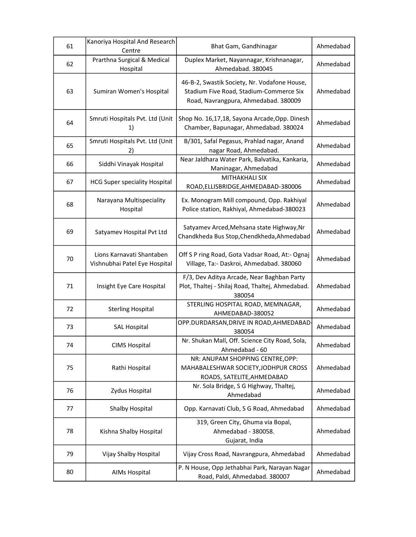| 61 | Kanoriya Hospital And Research<br>Centre                   | Bhat Gam, Gandhinagar                                                                                                           | Ahmedabad |
|----|------------------------------------------------------------|---------------------------------------------------------------------------------------------------------------------------------|-----------|
| 62 | Prarthna Surgical & Medical<br>Hospital                    | Duplex Market, Nayannagar, Krishnanagar,<br>Ahmedabad. 380045                                                                   | Ahmedabad |
| 63 | Sumiran Women's Hospital                                   | 46-B-2, Swastik Society, Nr. Vodafone House,<br>Stadium Five Road, Stadium-Commerce Six<br>Road, Navrangpura, Ahmedabad. 380009 | Ahmedabad |
| 64 | Smruti Hospitals Pvt. Ltd (Unit<br>1)                      | Shop No. 16,17,18, Sayona Arcade, Opp. Dinesh<br>Chamber, Bapunagar, Ahmedabad. 380024                                          | Ahmedabad |
| 65 | Smruti Hospitals Pvt. Ltd (Unit<br>2)                      | B/301, Safal Pegasus, Prahlad nagar, Anand<br>nagar Road, Ahmedabad.                                                            | Ahmedabad |
| 66 | Siddhi Vinayak Hospital                                    | Near Jaldhara Water Park, Balvatika, Kankaria,<br>Maninagar, Ahmedabad                                                          | Ahmedabad |
| 67 | <b>HCG Super speciality Hospital</b>                       | <b>MITHAKHALI SIX</b><br>ROAD, ELLISBRIDGE, AHMEDABAD-380006                                                                    | Ahmedabad |
| 68 | Narayana Multispeciality<br>Hospital                       | Ex. Monogram Mill compound, Opp. Rakhiyal<br>Police station, Rakhiyal, Ahmedabad-380023                                         | Ahmedabad |
| 69 | Satyamev Hospital Pvt Ltd                                  | Satyamev Arced, Mehsana state Highway, Nr<br>Chandkheda Bus Stop, Chendkheda, Ahmedabad                                         | Ahmedabad |
| 70 | Lions Karnavati Shantaben<br>Vishnubhai Patel Eye Hospital | Off S P ring Road, Gota Vadsar Road, At:- Ognaj<br>Village, Ta:- Daskroi, Ahmedabad. 380060                                     | Ahmedabad |
| 71 | Insight Eye Care Hospital                                  | F/3, Dev Aditya Arcade, Near Baghban Party<br>Plot, Thaltej - Shilaj Road, Thaltej, Ahmedabad.<br>380054                        | Ahmedabad |
| 72 | <b>Sterling Hospital</b>                                   | STERLING HOSPITAL ROAD, MEMNAGAR,<br>AHMEDABAD-380052                                                                           | Ahmedabad |
| 73 | <b>SAL Hospital</b>                                        | OPP.DURDARSAN, DRIVE IN ROAD, AHMEDABAD<br>380054                                                                               | Ahmedabad |
| 74 | <b>CIMS Hospital</b>                                       | Nr. Shukan Mall, Off. Science City Road, Sola,<br>Ahmedabad - 60                                                                | Ahmedabad |
| 75 | Rathi Hospital                                             | NR: ANUPAM SHOPPING CENTRE, OPP:<br>MAHABALESHWAR SOCIETY, JODHPUR CROSS<br>ROADS, SATELITE, AHMEDABAD                          | Ahmedabad |
| 76 | Zydus Hospital                                             | Nr. Sola Bridge, S G Highway, Thaltej,<br>Ahmedabad                                                                             | Ahmedabad |
| 77 | Shalby Hospital                                            | Opp. Karnavati Club, S G Road, Ahmedabad                                                                                        | Ahmedabad |
| 78 | Kishna Shalby Hospital                                     | 319, Green City, Ghuma via Bopal,<br>Ahmedabad - 380058.<br>Gujarat, India                                                      | Ahmedabad |
| 79 | Vijay Shalby Hospital                                      | Vijay Cross Road, Navrangpura, Ahmedabad                                                                                        | Ahmedabad |
| 80 | AIMs Hospital                                              | P. N House, Opp Jethabhai Park, Narayan Nagar<br>Road, Paldi, Ahmedabad. 380007                                                 | Ahmedabad |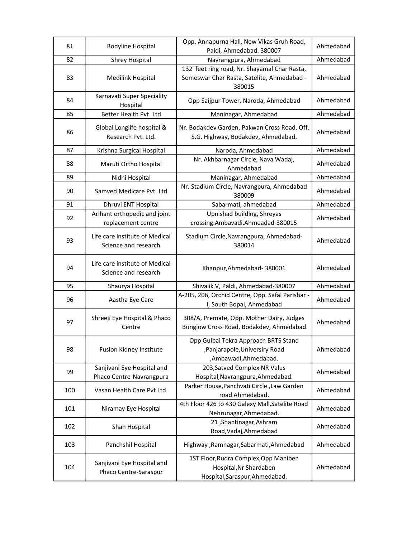| 81  | <b>Bodyline Hospital</b>                               | Opp. Annapurna Hall, New Vikas Gruh Road,<br>Paldi, Ahmedabad. 380007                             | Ahmedabad |
|-----|--------------------------------------------------------|---------------------------------------------------------------------------------------------------|-----------|
| 82  | <b>Shrey Hospital</b>                                  | Navrangpura, Ahmedabad                                                                            | Ahmedabad |
|     |                                                        | 132' feet ring road, Nr. Shayamal Char Rasta,                                                     |           |
| 83  | Medilink Hospital                                      | Someswar Char Rasta, Satelite, Ahmedabad -<br>380015                                              | Ahmedabad |
| 84  | Karnavati Super Speciality<br>Hospital                 | Opp Saijpur Tower, Naroda, Ahmedabad                                                              | Ahmedabad |
| 85  | Better Health Pvt. Ltd                                 | Maninagar, Ahmedabad                                                                              | Ahmedabad |
| 86  | Global Longlife hospital &<br>Research Pvt. Ltd.       | Nr. Bodakdev Garden, Pakwan Cross Road, Off.<br>S.G. Highway, Bodakdev, Ahmedabad.                | Ahmedabad |
| 87  | Krishna Surgical Hospital                              | Naroda, Ahmedabad                                                                                 | Ahmedabad |
| 88  | Maruti Ortho Hospital                                  | Nr. Akhbarnagar Circle, Nava Wadaj,<br>Ahmedabad                                                  | Ahmedabad |
| 89  | Nidhi Hospital                                         | Maninagar, Ahmedabad                                                                              | Ahmedabad |
| 90  | Samved Medicare Pyt. Ltd                               | Nr. Stadium Circle, Navrangpura, Ahmedabad<br>380009                                              | Ahmedabad |
| 91  | Dhruvi ENT Hospital                                    | Sabarmati, ahmedabad                                                                              | Ahmedabad |
| 92  | Arihant orthopedic and joint<br>replacement centre     | Upnishad building, Shreyas<br>crossing.Ambavadi,Ahmeadad-380015                                   | Ahmedabad |
| 93  | Life care institute of Medical<br>Science and research | Stadium Circle, Navrangpura, Ahmedabad-<br>380014                                                 | Ahmedabad |
| 94  | Life care institute of Medical<br>Science and research | Khanpur, Ahmedabad-380001                                                                         | Ahmedabad |
| 95  | Shaurya Hospital                                       | Shivalik V, Paldi, Ahmedabad-380007                                                               | Ahmedabad |
| 96  | Aastha Eye Care                                        | A-205, 206, Orchid Centre, Opp. Safal Parishar -<br>I, South Bopal, Ahmedabad                     | Ahmedabad |
| 97  | Shreeji Eye Hospital & Phaco<br>Centre                 | 308/A, Premate, Opp. Mother Dairy, Judges<br>Bunglow Cross Road, Bodakdev, Ahmedabad              | Ahmedabad |
| 98  | Fusion Kidney Institute                                | Opp Gulbai Tekra Approach BRTS Stand<br>, Panjarapole, Universiry Road<br>,Ambawadi,Ahmedabad.    | Ahmedabad |
| 99  | Sanjivani Eye Hospital and<br>Phaco Centre-Navrangpura | 203, Satved Complex NR Valus<br>Hospital, Navrangpura, Ahmedabad.                                 | Ahmedabad |
| 100 | Vasan Health Care Pvt Ltd.                             | Parker House, Panchvati Circle, Law Garden<br>road Ahmedabad.                                     | Ahmedabad |
| 101 | Niramay Eye Hospital                                   | 4th Floor 426 to 430 Galexy Mall, Satelite Road<br>Nehrunagar, Ahmedabad.                         | Ahmedabad |
| 102 | Shah Hospital                                          | 21, Shantinagar, Ashram<br>Road, Vadaj, Ahmedabad                                                 | Ahmedabad |
| 103 | Panchshil Hospital                                     | Highway, Ramnagar, Sabarmati, Ahmedabad                                                           | Ahmedabad |
| 104 | Sanjivani Eye Hospital and<br>Phaco Centre-Saraspur    | 1ST Floor, Rudra Complex, Opp Maniben<br>Hospital, Nr Shardaben<br>Hospital, Saraspur, Ahmedabad. | Ahmedabad |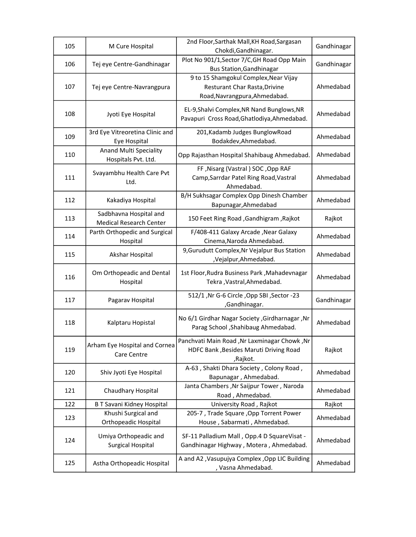| 105 | M Cure Hospital                                          | 2nd Floor, Sarthak Mall, KH Road, Sargasan<br>Chokdi, Gandhinagar.                                             | Gandhinagar |
|-----|----------------------------------------------------------|----------------------------------------------------------------------------------------------------------------|-------------|
| 106 | Tej eye Centre-Gandhinagar                               | Plot No 901/1, Sector 7/C, GH Road Opp Main<br><b>Bus Station, Gandhinagar</b>                                 | Gandhinagar |
| 107 | Tej eye Centre-Navrangpura                               | 9 to 15 Shamgokul Complex, Near Vijay<br><b>Resturant Char Rasta, Drivine</b><br>Road, Navrangpura, Ahmedabad. | Ahmedabad   |
| 108 | Jyoti Eye Hospital                                       | EL-9, Shalvi Complex, NR Nand Bunglows, NR<br>Pavapuri Cross Road, Ghatlodiya, Ahmedabad.                      | Ahmedabad   |
| 109 | 3rd Eye Vitreoretina Clinic and<br>Eye Hospital          | 201, Kadamb Judges BunglowRoad<br>Bodakdev, Ahmedabad.                                                         | Ahmedabad   |
| 110 | Anand Multi Speciality<br>Hospitals Pvt. Ltd.            | Opp Rajasthan Hospital Shahibaug Ahmedabad.                                                                    | Ahmedabad   |
| 111 | Svayambhu Health Care Pvt<br>Ltd.                        | FF, Nisarg (Vastral) SOC, Opp RAF<br>Camp, Sarrdar Patel Ring Road, Vastral<br>Ahmedabad.                      | Ahmedabad   |
| 112 | Kakadiya Hospital                                        | B/H Sukhsagar Complex Opp Dinesh Chamber<br>Bapunagar, Ahmedabad                                               | Ahmedabad   |
| 113 | Sadbhavna Hospital and<br><b>Medical Research Center</b> | 150 Feet Ring Road , Gandhigram, Rajkot                                                                        | Rajkot      |
| 114 | Parth Orthopedic and Surgical<br>Hospital                | F/408-411 Galaxy Arcade, Near Galaxy<br>Cinema, Naroda Ahmedabad.                                              | Ahmedabad   |
| 115 | Akshar Hospital                                          | 9, Gurudutt Complex, Nr Vejalpur Bus Station<br>,Vejalpur,Ahmedabad.                                           | Ahmedabad   |
| 116 | Om Orthopeadic and Dental<br>Hospital                    | 1st Floor, Rudra Business Park, Mahadevnagar<br>Tekra , Vastral, Ahmedabad.                                    | Ahmedabad   |
| 117 | Pagarav Hospital                                         | 512/1, Nr G-6 Circle, Opp SBI, Sector -23<br>,Gandhinagar.                                                     | Gandhinagar |
| 118 | Kalptaru Hopistal                                        | No 6/1 Girdhar Nagar Society , Girdharnagar , Nr<br>Parag School , Shahibaug Ahmedabad.                        | Ahmedabad   |
| 119 | Arham Eye Hospital and Cornea<br>Care Centre             | Panchvati Main Road , Nr Laxminagar Chowk, Nr<br>HDFC Bank , Besides Maruti Driving Road<br>,Rajkot.           | Rajkot      |
| 120 | Shiv Jyoti Eye Hospital                                  | A-63, Shakti Dhara Society, Colony Road,<br>Bapunagar, Ahmedabad.                                              | Ahmedabad   |
| 121 | Chaudhary Hospital                                       | Janta Chambers, Nr Saijpur Tower, Naroda<br>Road, Ahmedabad.                                                   | Ahmedabad   |
| 122 | <b>B T Savani Kidney Hospital</b>                        | University Road, Rajkot                                                                                        | Rajkot      |
| 123 | Khushi Surgical and<br><b>Orthopeadic Hospital</b>       | 205-7, Trade Square, Opp Torrent Power<br>House, Sabarmati, Ahmedabad.                                         | Ahmedabad   |
| 124 | Umiya Orthopeadic and<br><b>Surgical Hospital</b>        | SF-11 Palladium Mall, Opp.4 D SquareVisat -<br>Gandhinagar Highway, Motera, Ahmedabad.                         | Ahmedabad   |
| 125 | Astha Orthopeadic Hospital                               | A and A2 , Vasupujya Complex , Opp LIC Building<br>, Vasna Ahmedabad.                                          | Ahmedabad   |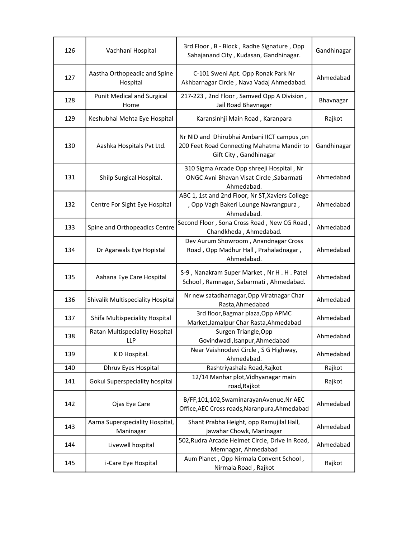| 126 | Vachhani Hospital                            | 3rd Floor, B - Block, Radhe Signature, Opp<br>Sahajanand City, Kudasan, Gandhinagar.                                | Gandhinagar |
|-----|----------------------------------------------|---------------------------------------------------------------------------------------------------------------------|-------------|
| 127 | Aastha Orthopeadic and Spine<br>Hospital     | C-101 Sweni Apt. Opp Ronak Park Nr<br>Akhbarnagar Circle, Nava Vadaj Ahmedabad.                                     | Ahmedabad   |
| 128 | <b>Punit Medical and Surgical</b><br>Home    | 217-223, 2nd Floor, Samved Opp A Division,<br>Jail Road Bhavnagar                                                   | Bhavnagar   |
| 129 | Keshubhai Mehta Eye Hospital                 | Karansinhji Main Road, Karanpara                                                                                    | Rajkot      |
| 130 | Aashka Hospitals Pvt Ltd.                    | Nr NID and Dhirubhai Ambani IICT campus, on<br>200 Feet Road Connecting Mahatma Mandir to<br>Gift City, Gandhinagar | Gandhinagar |
| 131 | Shilp Surgical Hospital.                     | 310 Sigma Arcade Opp shreeji Hospital, Nr<br>ONGC Avni Bhavan Visat Circle, Sabarmati<br>Ahmedabad.                 | Ahmedabad   |
| 132 | Centre For Sight Eye Hospital                | ABC 1, 1st and 2nd Floor, Nr ST, Xaviers College<br>, Opp Vagh Bakeri Lounge Navrangpura,<br>Ahmedabad.             | Ahmedabad   |
| 133 | Spine and Orthopeadics Centre                | Second Floor, Sona Cross Road, New CG Road,<br>Chandkheda, Ahmedabad.                                               | Ahmedabad   |
| 134 | Dr Agarwals Eye Hopistal                     | Dev Aurum Showroom, Anandnagar Cross<br>Road, Opp Madhur Hall, Prahaladnagar,<br>Ahmedabad.                         | Ahmedabad   |
| 135 | Aahana Eye Care Hospital                     | S-9, Nanakram Super Market, Nr H. H. Patel<br>School, Ramnagar, Sabarmati, Ahmedabad.                               | Ahmedabad   |
| 136 | Shivalik Multispeciality Hospital            | Nr new satadharnagar, Opp Viratnagar Char<br>Rasta, Ahmedabad                                                       | Ahmedabad   |
| 137 | Shifa Multispeciality Hospital               | 3rd floor, Bagmar plaza, Opp APMC<br>Market, Jamalpur Char Rasta, Ahmedabad                                         | Ahmedabad   |
| 138 | Ratan Multispeciality Hospital<br><b>LLP</b> | Surgen Triangle, Opp<br>Govindwadi, Isanpur, Ahmedabad                                                              | Ahmedabad   |
| 139 | K D Hospital.                                | Near Vaishnodevi Circle, S G Highway,<br>Ahmedabad.                                                                 | Ahmedabad   |
| 140 | Dhruv Eyes Hospital                          | Rashtriyashala Road, Rajkot                                                                                         | Rajkot      |
| 141 | Gokul Superspeciality hospital               | 12/14 Manhar plot, Vidhyanagar main<br>road, Rajkot                                                                 | Rajkot      |
| 142 | Ojas Eye Care                                | B/FF,101,102,SwaminarayanAvenue,Nr AEC<br>Office, AEC Cross roads, Naranpura, Ahmedabad                             | Ahmedabad   |
| 143 | Aarna Superspeciality Hospital,<br>Maninagar | Shant Prabha Height, opp Ramujilal Hall,<br>jawahar Chowk, Maninagar                                                | Ahmedabad   |
| 144 | Livewell hospital                            | 502, Rudra Arcade Helmet Circle, Drive In Road,<br>Memnagar, Ahmedabad                                              | Ahmedabad   |
| 145 | i-Care Eye Hospital                          | Aum Planet, Opp Nirmala Convent School,<br>Nirmala Road, Rajkot                                                     | Rajkot      |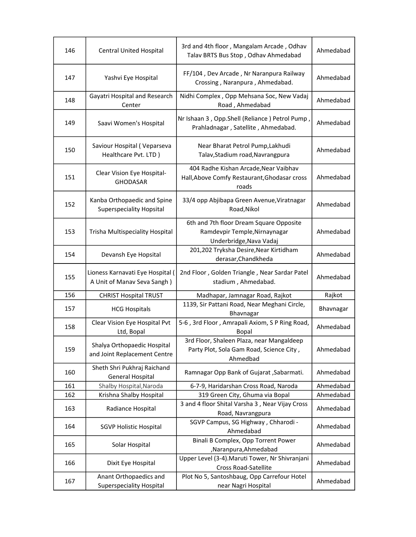| 146 | <b>Central United Hospital</b>                                 | 3rd and 4th floor, Mangalam Arcade, Odhav<br>Talav BRTS Bus Stop, Odhav Ahmedabad                   | Ahmedabad |
|-----|----------------------------------------------------------------|-----------------------------------------------------------------------------------------------------|-----------|
| 147 | Yashvi Eye Hospital                                            | FF/104, Dev Arcade, Nr Naranpura Railway<br>Crossing, Naranpura, Ahmedabad.                         | Ahmedabad |
| 148 | Gayatri Hospital and Research<br>Center                        | Nidhi Complex, Opp Mehsana Soc, New Vadaj<br>Road, Ahmedabad                                        | Ahmedabad |
| 149 | Saavi Women's Hospital                                         | Nr Ishaan 3, Opp.Shell (Reliance) Petrol Pump,<br>Prahladnagar, Satellite, Ahmedabad.               | Ahmedabad |
| 150 | Saviour Hospital (Veparseva<br>Healthcare Pvt. LTD)            | Near Bharat Petrol Pump, Lakhudi<br>Talav, Stadium road, Navrangpura                                | Ahmedabad |
| 151 | Clear Vision Eye Hospital-<br><b>GHODASAR</b>                  | 404 Radhe Kishan Arcade, Near Vaibhav<br>Hall, Above Comfy Restaurant, Ghodasar cross<br>roads      | Ahmedabad |
| 152 | Kanba Orthopaedic and Spine<br><b>Superspeciality Hopsital</b> | 33/4 opp Abjibapa Green Avenue, Viratnagar<br>Road, Nikol                                           | Ahmedabad |
| 153 | Trisha Multispeciality Hospital                                | 6th and 7th floor Dream Square Opposite<br>Ramdevpir Temple, Nirnaynagar<br>Underbridge, Nava Vadaj | Ahmedabad |
| 154 | Devansh Eye Hopsital                                           | 201,202 Tryksha Desire, Near Kirtidham<br>derasar, Chandkheda                                       | Ahmedabad |
| 155 | Lioness Karnavati Eye Hospital<br>A Unit of Manav Seva Sangh)  | 2nd Floor, Golden Triangle, Near Sardar Patel<br>stadium, Ahmedabad.                                | Ahmedabad |
| 156 | <b>CHRIST Hospital TRUST</b>                                   | Madhapar, Jamnagar Road, Rajkot                                                                     | Rajkot    |
| 157 | <b>HCG Hospitals</b>                                           | 1139, Sir Pattani Road, Near Meghani Circle,<br>Bhavnagar                                           | Bhavnagar |
| 158 | Clear Vision Eye Hospital Pvt<br>Ltd, Bopal                    | 5-6, 3rd Floor, Amrapali Axiom, SP Ring Road,<br><b>Bopal</b>                                       | Ahmedabad |
| 159 | Shalya Orthopaedic Hospital<br>and Joint Replacement Centre    | 3rd Floor, Shaleen Plaza, near Mangaldeep<br>Party Plot, Sola Gam Road, Science City,<br>Ahmedbad   | Ahmedabad |
| 160 | Sheth Shri Pukhraj Raichand<br><b>General Hospital</b>         | Ramnagar Opp Bank of Gujarat, Sabarmati.                                                            | Ahmedabad |
| 161 | Shalby Hospital, Naroda                                        | 6-7-9, Haridarshan Cross Road, Naroda                                                               | Ahmedabad |
| 162 | Krishna Shalby Hospital                                        | 319 Green City, Ghuma via Bopal                                                                     | Ahmedabad |
| 163 | Radiance Hospital                                              | 3 and 4 floor Shital Varsha 3, Near Vijay Cross<br>Road, Navrangpura                                | Ahmedabad |
| 164 | <b>SGVP Holistic Hospital</b>                                  | SGVP Campus, SG Highway, Chharodi -<br>Ahmedabad                                                    | Ahmedabad |
| 165 | Solar Hospital                                                 | Binali B Complex, Opp Torrent Power<br>,Naranpura,Ahmedabad                                         | Ahmedabad |
| 166 | Dixit Eye Hospital                                             | Upper Level (3-4). Maruti Tower, Nr Shivranjani<br><b>Cross Road-Satellite</b>                      | Ahmedabad |
| 167 | Anant Orthopaedics and                                         | Plot No 5, Santoshbaug, Opp Carrefour Hotel                                                         | Ahmedabad |
|     | <b>Superspeciality Hospital</b>                                | near Nagri Hospital                                                                                 |           |